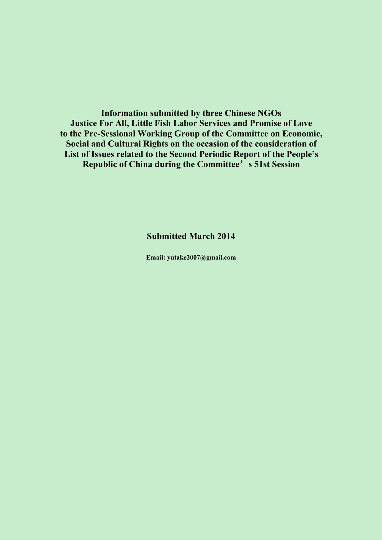**Information submitted by three Chinese NGOs Justice For All, Little Fish Labor Services and Promise of Love to the Pre-Sessional Working Group of the Committee on Economic, Social and Cultural Rights on the occasion of the consideration of List of Issues related to the Second Periodic Report of the People's Republic of China during the Committee**'**s 51st Session**

# **Submitted March 2014**

**Email: yutake2007@gmail.com**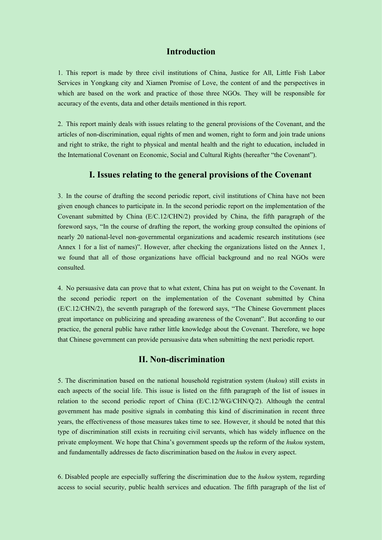#### **Introduction**

1. This report is made by three civil institutions of China, Justice for All, Little Fish Labor Services in Yongkang city and Xiamen Promise of Love, the content of and the perspectives in which are based on the work and practice of those three NGOs. They will be responsible for accuracy of the events, data and other details mentioned in this report.

2. This report mainly deals with issues relating to the general provisions of the Covenant, and the articles of non-discrimination, equal rights of men and women, right to form and join trade unions and right to strike, the right to physical and mental health and the right to education, included in the International Covenant on Economic, Social and Cultural Rights (hereafter "the Covenant").

#### **I. Issues relating to the general provisions of the Covenant**

3. In the course of drafting the second periodic report, civil institutions of China have not been given enough chances to participate in. In the second periodic report on the implementation of the Covenant submitted by China (E/C.12/CHN/2) provided by China, the fifth paragraph of the foreword says, "In the course of drafting the report, the working group consulted the opinions of nearly 20 national-level non-governmental organizations and academic research institutions (see Annex 1 for a list of names)". However, after checking the organizations listed on the Annex 1, we found that all of those organizations have official background and no real NGOs were consulted.

4. No persuasive data can prove that to what extent, China has put on weight to the Covenant. In the second periodic report on the implementation of the Covenant submitted by China (E/C.12/CHN/2), the seventh paragraph of the foreword says, "The Chinese Government places great importance on publicizing and spreading awareness of the Covenant". But according to our practice, the general public have rather little knowledge about the Covenant. Therefore, we hope that Chinese government can provide persuasive data when submitting the next periodic report.

# **II. Non-discrimination**

5. The discrimination based on the national household registration system (*hukou*) still exists in each aspects of the social life. This issue is listed on the fifth paragraph of the list of issues in relation to the second periodic report of China (E/C.12/WG/CHN/Q/2). Although the central government has made positive signals in combating this kind of discrimination in recent three years, the effectiveness of those measures takes time to see. However, it should be noted that this type of discrimination still exists in recruiting civil servants, which has widely influence on the private employment. We hope that China's government speeds up the reform of the *hukou* system, and fundamentally addresses de facto discrimination based on the *hukou* in every aspect.

6. Disabled people are especially suffering the discrimination due to the *hukou* system, regarding access to social security, public health services and education. The fifth paragraph of the list of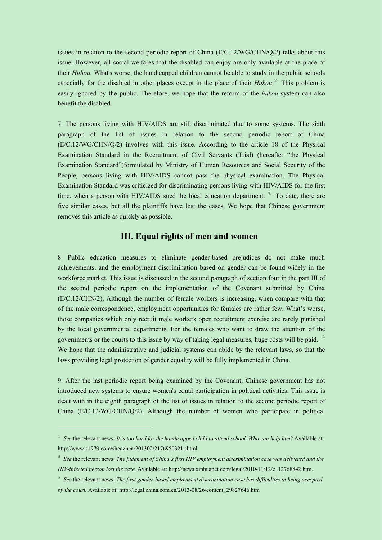issues in relation to the second periodic report of China (E/C.12/WG/CHN/Q/2) talks about this issue. However, all social welfares that the disabled can enjoy are only available at the place of their *Huhou.* What's worse, the handicapped children cannot be able to study in the public schools especially for the disabled in other places except in the place of their *Hukou*.[①](#page-2-0) This problem is easily ignored by the public. Therefore, we hope that the reform of the *hukou* system can also benefit the disabled.

7. The persons living with HIV/AIDS are still discriminated due to some systems. The sixth paragraph of the list of issues in relation to the second periodic report of China  $(E/C.12/WG/CHN/O/2)$  involves with this issue. According to the article 18 of the Physical Examination Standard in the Recruitment of Civil Servants (Trial) (hereafter "the Physical Examination Standard")formulated by Ministry of Human Resources and Social Security of the People, persons living with HIV/AIDS cannot pass the physical examination. The Physical Examination Standard was criticized for discriminating persons living with HIV/AIDS for the first time, when a person with HIV/AIDS sued the local education department.  $^{\circ}$  To date, there are five similar cases, but all the plaintiffs have lost the cases. We hope that Chinese government removes this article as quickly as possible.

# **III.** Equal rights of men and women

8. Public education measures to eliminate gender-based prejudices do not make much achievements, and the employment discrimination based on gender can be found widely in the workforce market. This issue is discussed in the second paragraph of section four in the part III of the second periodic report on the implementation of the Covenant submitted by China (E/C.12/CHN/2). Although the number of female workers is increasing, when compare with that of the male correspondence, employment opportunities for females are rather few. What's worse, those companies which only recruit male workers open recruitment exercise are rarely punished by the local governmental departments. For the females who want to draw the attention of the governments or the courts to this issue by way of taking legal measures, huge costs will be paid. [③](#page-2-2) We hope that the administrative and judicial systems can abide by the relevant laws, so that the laws providing legal protection of gender equality will be fully implemented in China.

9. After the last periodic report being examined by the Covenant, Chinese government has not introduced new systems to ensure women's equal participation in political activities. This issue is dealt with in the eighth paragraph of the list of issues in relation to the second periodic report of China  $(E/C.12/WG/CHN/O/2)$ . Although the number of women who participate in political

<span id="page-2-0"></span> $\degree$  See the relevant news: It is too hard for the handicapped child to attend school. Who can help him? Available at: http://www.s1979.com/shenzhen/201302/2176950321.shtml

<span id="page-2-1"></span><sup>②</sup> *See* the relevant news: *The judgment of China's first HIV employment discrimination case was delivered and the HIV-infected person lost the case.* Available at: http://news.xinhuanet.com/legal/2010-11/12/c\_12768842.htm.

<span id="page-2-2"></span><sup>③</sup> *See* the relevant news: *The first gender-based employment discrimination case has difficulties in being accepted by the court.* Available at: http://legal.china.com.cn/2013-08/26/content\_29827646.htm